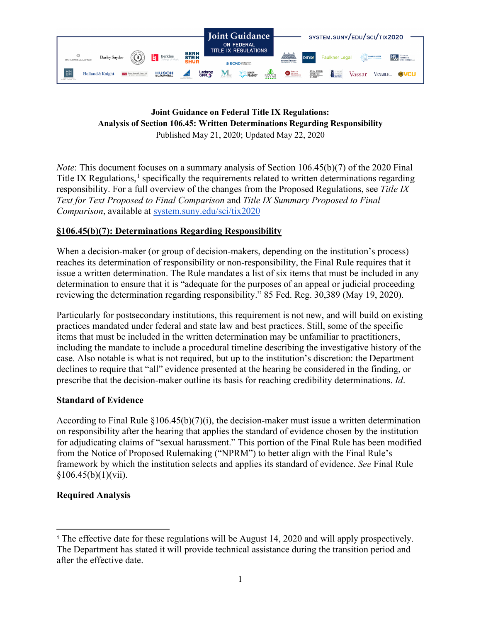

#### **Joint Guidance on Federal Title IX Regulations: Analysis of Section 106.45: Written Determinations Regarding Responsibility** Published May 21, 2020; Updated May 22, 2020

*Note*: This document focuses on a summary analysis of Section 106.45(b)(7) of the 2020 Final Title IX Regulations, $<sup>1</sup>$  $<sup>1</sup>$  $<sup>1</sup>$  specifically the requirements related to written determinations regarding</sup> responsibility. For a full overview of the changes from the Proposed Regulations, see *Title IX Text for Text Proposed to Final Comparison* and *Title IX Summary Proposed to Final Comparison*, available at [system.suny.edu/sci/tix2020](https://system.suny.edu/sci/tix2020/)

# **§106.45(b)(7): Determinations Regarding Responsibility**

When a decision-maker (or group of decision-makers, depending on the institution's process) reaches its determination of responsibility or non-responsibility, the Final Rule requires that it issue a written determination. The Rule mandates a list of six items that must be included in any determination to ensure that it is "adequate for the purposes of an appeal or judicial proceeding reviewing the determination regarding responsibility." 85 Fed. Reg. 30,389 (May 19, 2020).

Particularly for postsecondary institutions, this requirement is not new, and will build on existing practices mandated under federal and state law and best practices. Still, some of the specific items that must be included in the written determination may be unfamiliar to practitioners, including the mandate to include a procedural timeline describing the investigative history of the case. Also notable is what is not required, but up to the institution's discretion: the Department declines to require that "all" evidence presented at the hearing be considered in the finding, or prescribe that the decision-maker outline its basis for reaching credibility determinations. *Id*.

## **Standard of Evidence**

According to Final Rule  $\S106.45(b)(7)(i)$ , the decision-maker must issue a written determination on responsibility after the hearing that applies the standard of evidence chosen by the institution for adjudicating claims of "sexual harassment." This portion of the Final Rule has been modified from the Notice of Proposed Rulemaking ("NPRM") to better align with the Final Rule's framework by which the institution selects and applies its standard of evidence. *See* Final Rule  $§106.45(b)(1)(vii).$ 

## **Required Analysis**

<span id="page-0-0"></span><sup>1</sup> The effective date for these regulations will be August 14, 2020 and will apply prospectively. The Department has stated it will provide technical assistance during the transition period and after the effective date.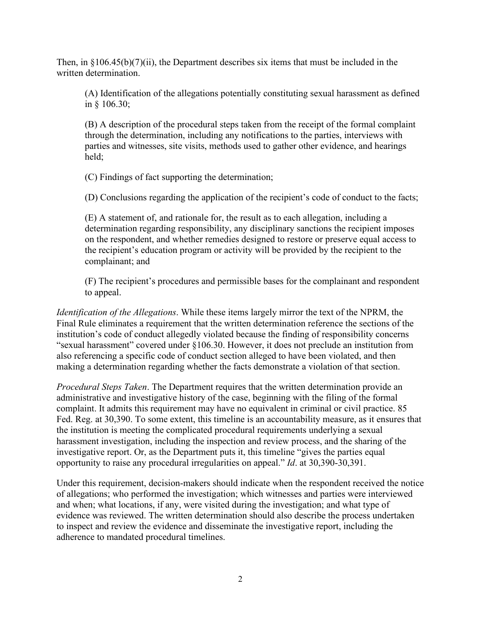Then, in  $\S106.45(b)(7)(ii)$ , the Department describes six items that must be included in the written determination.

(A) Identification of the allegations potentially constituting sexual harassment as defined in § 106.30;

(B) A description of the procedural steps taken from the receipt of the formal complaint through the determination, including any notifications to the parties, interviews with parties and witnesses, site visits, methods used to gather other evidence, and hearings held;

(C) Findings of fact supporting the determination;

(D) Conclusions regarding the application of the recipient's code of conduct to the facts;

(E) A statement of, and rationale for, the result as to each allegation, including a determination regarding responsibility, any disciplinary sanctions the recipient imposes on the respondent, and whether remedies designed to restore or preserve equal access to the recipient's education program or activity will be provided by the recipient to the complainant; and

(F) The recipient's procedures and permissible bases for the complainant and respondent to appeal.

*Identification of the Allegations*. While these items largely mirror the text of the NPRM, the Final Rule eliminates a requirement that the written determination reference the sections of the institution's code of conduct allegedly violated because the finding of responsibility concerns "sexual harassment" covered under §106.30. However, it does not preclude an institution from also referencing a specific code of conduct section alleged to have been violated, and then making a determination regarding whether the facts demonstrate a violation of that section.

*Procedural Steps Taken*. The Department requires that the written determination provide an administrative and investigative history of the case, beginning with the filing of the formal complaint. It admits this requirement may have no equivalent in criminal or civil practice. 85 Fed. Reg. at 30,390. To some extent, this timeline is an accountability measure, as it ensures that the institution is meeting the complicated procedural requirements underlying a sexual harassment investigation, including the inspection and review process, and the sharing of the investigative report. Or, as the Department puts it, this timeline "gives the parties equal opportunity to raise any procedural irregularities on appeal." *Id*. at 30,390-30,391.

Under this requirement, decision-makers should indicate when the respondent received the notice of allegations; who performed the investigation; which witnesses and parties were interviewed and when; what locations, if any, were visited during the investigation; and what type of evidence was reviewed. The written determination should also describe the process undertaken to inspect and review the evidence and disseminate the investigative report, including the adherence to mandated procedural timelines.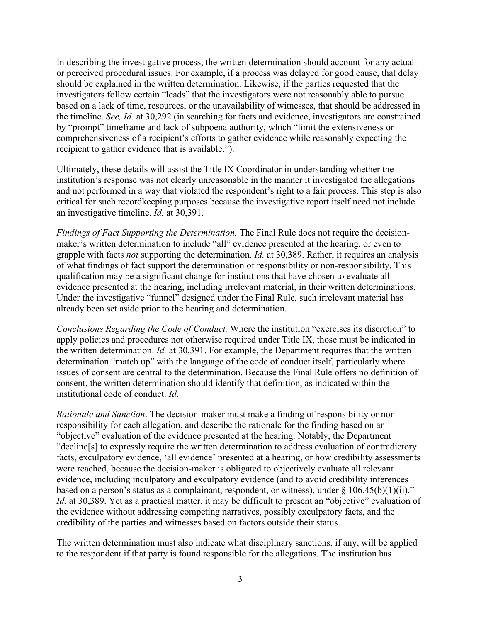In describing the investigative process, the written determination should account for any actual or perceived procedural issues. For example, if a process was delayed for good cause, that delay should be explained in the written determination. Likewise, if the parties requested that the investigators follow certain "leads" that the investigators were not reasonably able to pursue based on a lack of time, resources, or the unavailability of witnesses, that should be addressed in the timeline. *See, Id.* at 30,292 (in searching for facts and evidence, investigators are constrained by "prompt" timeframe and lack of subpoena authority, which "limit the extensiveness or comprehensiveness of a recipient's efforts to gather evidence while reasonably expecting the recipient to gather evidence that is available.").

Ultimately, these details will assist the Title IX Coordinator in understanding whether the institution's response was not clearly unreasonable in the manner it investigated the allegations and not performed in a way that violated the respondent's right to a fair process. This step is also critical for such recordkeeping purposes because the investigative report itself need not include an investigative timeline. *Id.* at 30,391.

*Findings of Fact Supporting the Determination.* The Final Rule does not require the decisionmaker's written determination to include "all" evidence presented at the hearing, or even to grapple with facts *not* supporting the determination. *Id.* at 30,389. Rather, it requires an analysis of what findings of fact support the determination of responsibility or non-responsibility. This qualification may be a significant change for institutions that have chosen to evaluate all evidence presented at the hearing, including irrelevant material, in their written determinations. Under the investigative "funnel" designed under the Final Rule, such irrelevant material has already been set aside prior to the hearing and determination.

*Conclusions Regarding the Code of Conduct.* Where the institution "exercises its discretion" to apply policies and procedures not otherwise required under Title IX, those must be indicated in the written determination. *Id.* at 30,391. For example, the Department requires that the written determination "match up" with the language of the code of conduct itself, particularly where issues of consent are central to the determination. Because the Final Rule offers no definition of consent, the written determination should identify that definition, as indicated within the institutional code of conduct. *Id*.

*Rationale and Sanction*. The decision-maker must make a finding of responsibility or nonresponsibility for each allegation, and describe the rationale for the finding based on an "objective" evaluation of the evidence presented at the hearing. Notably, the Department "decline[s] to expressly require the written determination to address evaluation of contradictory facts, exculpatory evidence, 'all evidence' presented at a hearing, or how credibility assessments were reached, because the decision-maker is obligated to objectively evaluate all relevant evidence, including inculpatory and exculpatory evidence (and to avoid credibility inferences based on a person's status as a complainant, respondent, or witness), under  $\S 106.45(b)(1)(ii)$ ." *Id.* at 30,389. Yet as a practical matter, it may be difficult to present an "objective" evaluation of the evidence without addressing competing narratives, possibly exculpatory facts, and the credibility of the parties and witnesses based on factors outside their status.

The written determination must also indicate what disciplinary sanctions, if any, will be applied to the respondent if that party is found responsible for the allegations. The institution has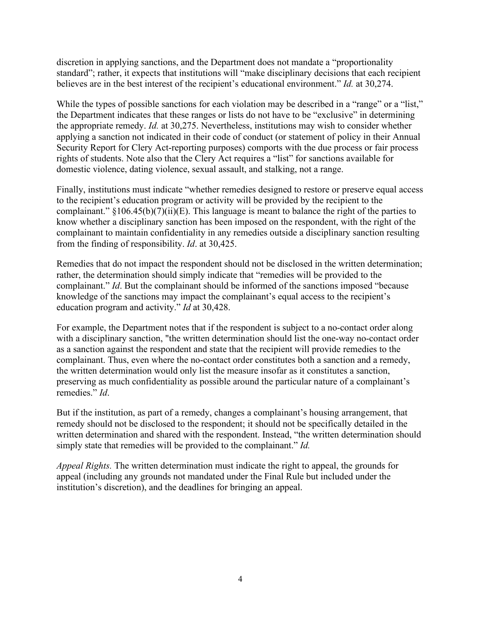discretion in applying sanctions, and the Department does not mandate a "proportionality standard"; rather, it expects that institutions will "make disciplinary decisions that each recipient believes are in the best interest of the recipient's educational environment." *Id.* at 30,274.

While the types of possible sanctions for each violation may be described in a "range" or a "list," the Department indicates that these ranges or lists do not have to be "exclusive" in determining the appropriate remedy. *Id.* at 30,275. Nevertheless, institutions may wish to consider whether applying a sanction not indicated in their code of conduct (or statement of policy in their Annual Security Report for Clery Act-reporting purposes) comports with the due process or fair process rights of students. Note also that the Clery Act requires a "list" for sanctions available for domestic violence, dating violence, sexual assault, and stalking, not a range.

Finally, institutions must indicate "whether remedies designed to restore or preserve equal access to the recipient's education program or activity will be provided by the recipient to the complainant." §106.45(b)(7)(ii)(E). This language is meant to balance the right of the parties to know whether a disciplinary sanction has been imposed on the respondent, with the right of the complainant to maintain confidentiality in any remedies outside a disciplinary sanction resulting from the finding of responsibility. *Id*. at 30,425.

Remedies that do not impact the respondent should not be disclosed in the written determination; rather, the determination should simply indicate that "remedies will be provided to the complainant." *Id*. But the complainant should be informed of the sanctions imposed "because knowledge of the sanctions may impact the complainant's equal access to the recipient's education program and activity." *Id* at 30,428.

For example, the Department notes that if the respondent is subject to a no-contact order along with a disciplinary sanction, "the written determination should list the one-way no-contact order as a sanction against the respondent and state that the recipient will provide remedies to the complainant. Thus, even where the no-contact order constitutes both a sanction and a remedy, the written determination would only list the measure insofar as it constitutes a sanction, preserving as much confidentiality as possible around the particular nature of a complainant's remedies." *Id*.

But if the institution, as part of a remedy, changes a complainant's housing arrangement, that remedy should not be disclosed to the respondent; it should not be specifically detailed in the written determination and shared with the respondent. Instead, "the written determination should simply state that remedies will be provided to the complainant." *Id.*

*Appeal Rights.* The written determination must indicate the right to appeal, the grounds for appeal (including any grounds not mandated under the Final Rule but included under the institution's discretion), and the deadlines for bringing an appeal.